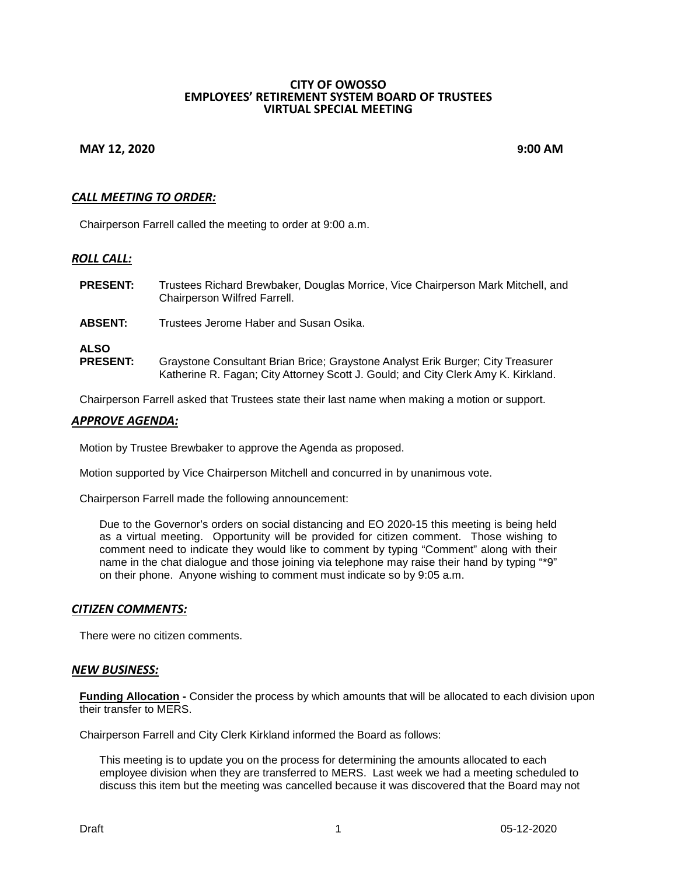#### **CITY OF OWOSSO EMPLOYEES' RETIREMENT SYSTEM BOARD OF TRUSTEES VIRTUAL SPECIAL MEETING**

# **MAY 12, 2020 9:00 AM**

# *CALL MEETING TO ORDER:*

Chairperson Farrell called the meeting to order at 9:00 a.m.

# *ROLL CALL:*

- **PRESENT:** Trustees Richard Brewbaker, Douglas Morrice, Vice Chairperson Mark Mitchell, and Chairperson Wilfred Farrell.
- **ABSENT:** Trustees Jerome Haber and Susan Osika.

# **ALSO**

**PRESENT:** Graystone Consultant Brian Brice; Graystone Analyst Erik Burger; City Treasurer Katherine R. Fagan; City Attorney Scott J. Gould; and City Clerk Amy K. Kirkland.

Chairperson Farrell asked that Trustees state their last name when making a motion or support.

## *APPROVE AGENDA:*

Motion by Trustee Brewbaker to approve the Agenda as proposed.

Motion supported by Vice Chairperson Mitchell and concurred in by unanimous vote.

Chairperson Farrell made the following announcement:

Due to the Governor's orders on social distancing and EO 2020-15 this meeting is being held as a virtual meeting. Opportunity will be provided for citizen comment. Those wishing to comment need to indicate they would like to comment by typing "Comment" along with their name in the chat dialogue and those joining via telephone may raise their hand by typing "\*9" on their phone. Anyone wishing to comment must indicate so by 9:05 a.m.

## *CITIZEN COMMENTS:*

There were no citizen comments.

## *NEW BUSINESS:*

**Funding Allocation -** Consider the process by which amounts that will be allocated to each division upon their transfer to MERS.

Chairperson Farrell and City Clerk Kirkland informed the Board as follows:

This meeting is to update you on the process for determining the amounts allocated to each employee division when they are transferred to MERS. Last week we had a meeting scheduled to discuss this item but the meeting was cancelled because it was discovered that the Board may not